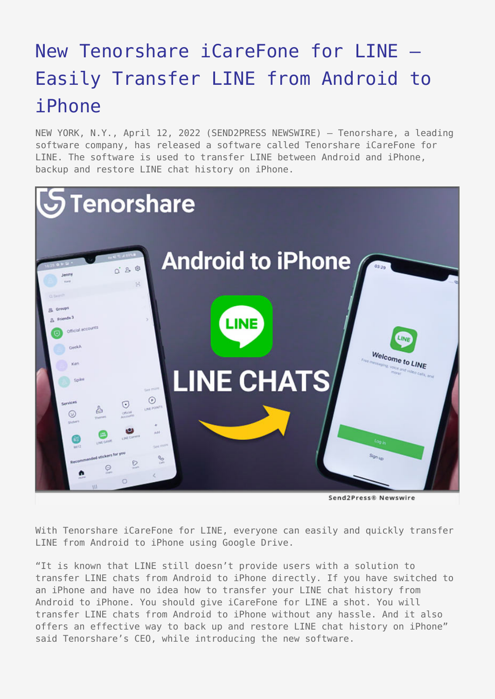# [New Tenorshare iCareFone for LINE –](https://www.send2press.com/wire/new-tenorshare-icarefone-for-line-easily-transfer-line-from-android-to-iphone/) [Easily Transfer LINE from Android to](https://www.send2press.com/wire/new-tenorshare-icarefone-for-line-easily-transfer-line-from-android-to-iphone/) [iPhone](https://www.send2press.com/wire/new-tenorshare-icarefone-for-line-easily-transfer-line-from-android-to-iphone/)

NEW YORK, N.Y., April 12, 2022 (SEND2PRESS NEWSWIRE) — Tenorshare, a leading software company, has released a software called Tenorshare iCareFone for LINE. The software is used to transfer LINE between Android and iPhone, backup and restore LINE chat history on iPhone.



With Tenorshare iCareFone for LINE, everyone can easily and quickly transfer LINE from Android to iPhone using Google Drive.

"It is known that LINE still doesn't provide users with a solution to transfer LINE chats from Android to iPhone directly. If you have switched to an iPhone and have no idea how to transfer your LINE chat history from Android to iPhone. You should give iCareFone for LINE a shot. You will transfer LINE chats from Android to iPhone without any hassle. And it also offers an effective way to back up and restore LINE chat history on iPhone" said Tenorshare's CEO, while introducing the new software.